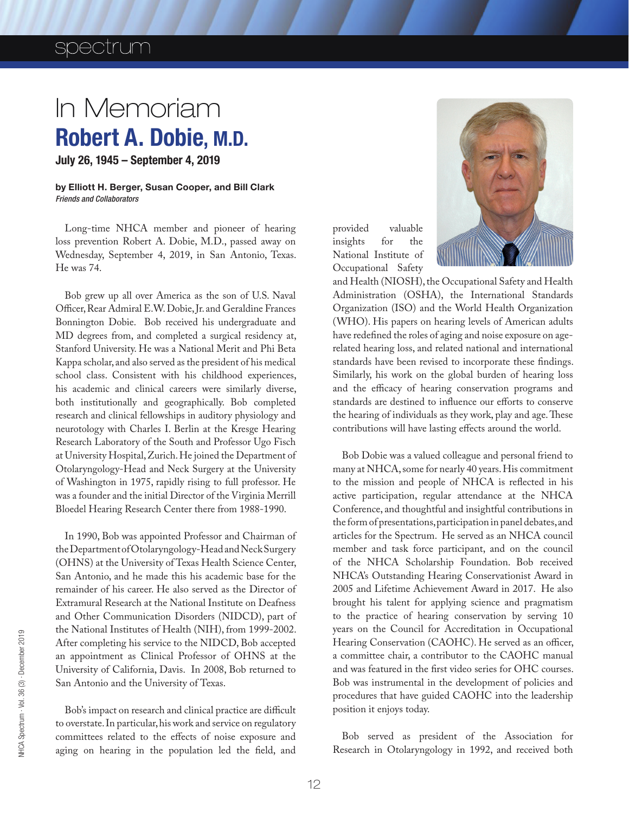## spectrum

## In Memoriam Robert A. Dobie, M.D.

July 26, 1945 – September 4, 2019

by Elliott H. Berger, Susan Cooper, and Bill Clark *Friends and Collaborators*

Long-time NHCA member and pioneer of hearing loss prevention Robert A. Dobie, M.D., passed away on Wednesday, September 4, 2019, in San Antonio, Texas. He was 74.

Bob grew up all over America as the son of U.S. Naval Officer, Rear Admiral E.W. Dobie, Jr. and Geraldine Frances Bonnington Dobie. Bob received his undergraduate and MD degrees from, and completed a surgical residency at, Stanford University. He was a National Merit and Phi Beta Kappa scholar, and also served as the president of his medical school class. Consistent with his childhood experiences, his academic and clinical careers were similarly diverse, both institutionally and geographically. Bob completed research and clinical fellowships in auditory physiology and neurotology with Charles I. Berlin at the Kresge Hearing Research Laboratory of the South and Professor Ugo Fisch at University Hospital, Zurich. He joined the Department of Otolaryngology-Head and Neck Surgery at the University of Washington in 1975, rapidly rising to full professor. He was a founder and the initial Director of the Virginia Merrill Bloedel Hearing Research Center there from 1988-1990.

In 1990, Bob was appointed Professor and Chairman of the Department of Otolaryngology-Head and Neck Surgery (OHNS) at the University of Texas Health Science Center, San Antonio, and he made this his academic base for the remainder of his career. He also served as the Director of Extramural Research at the National Institute on Deafness and Other Communication Disorders (NIDCD), part of the National Institutes of Health (NIH), from 1999-2002. After completing his service to the NIDCD, Bob accepted an appointment as Clinical Professor of OHNS at the University of California, Davis. In 2008, Bob returned to San Antonio and the University of Texas.

Bob's impact on research and clinical practice are difficult to overstate. In particular, his work and service on regulatory committees related to the effects of noise exposure and aging on hearing in the population led the field, and





and Health (NIOSH), the Occupational Safety and Health Administration (OSHA), the International Standards Organization (ISO) and the World Health Organization (WHO). His papers on hearing levels of American adults have redefined the roles of aging and noise exposure on agerelated hearing loss, and related national and international standards have been revised to incorporate these findings. Similarly, his work on the global burden of hearing loss and the efficacy of hearing conservation programs and standards are destined to influence our efforts to conserve the hearing of individuals as they work, play and age. These contributions will have lasting effects around the world.

Bob Dobie was a valued colleague and personal friend to many at NHCA, some for nearly 40 years. His commitment to the mission and people of NHCA is reflected in his active participation, regular attendance at the NHCA Conference, and thoughtful and insightful contributions in the form of presentations, participation in panel debates, and articles for the Spectrum. He served as an NHCA council member and task force participant, and on the council of the NHCA Scholarship Foundation. Bob received NHCA's Outstanding Hearing Conservationist Award in 2005 and Lifetime Achievement Award in 2017. He also brought his talent for applying science and pragmatism to the practice of hearing conservation by serving 10 years on the Council for Accreditation in Occupational Hearing Conservation (CAOHC). He served as an officer, a committee chair, a contributor to the CAOHC manual and was featured in the first video series for OHC courses. Bob was instrumental in the development of policies and procedures that have guided CAOHC into the leadership position it enjoys today.

Bob served as president of the Association for Research in Otolaryngology in 1992, and received both